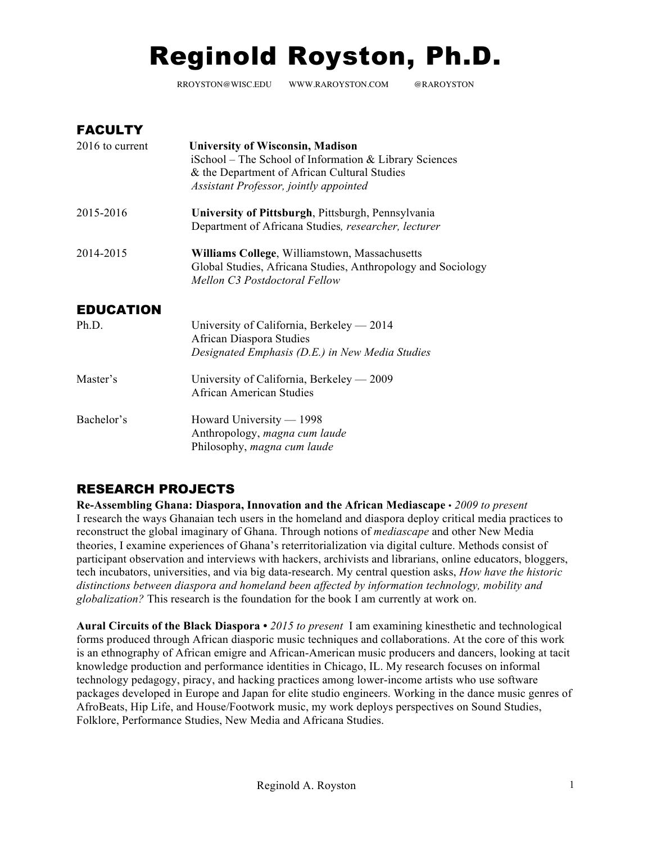# Reginold Royston, Ph.D.

RROYSTON@WISC.EDU WWW.RAROYSTON.COM @RAROYSTON

| <b>FACULTY</b>   |                                                                                                                                                                                             |
|------------------|---------------------------------------------------------------------------------------------------------------------------------------------------------------------------------------------|
| 2016 to current  | <b>University of Wisconsin, Madison</b><br>iSchool – The School of Information & Library Sciences<br>& the Department of African Cultural Studies<br>Assistant Professor, jointly appointed |
| 2015-2016        | University of Pittsburgh, Pittsburgh, Pennsylvania<br>Department of Africana Studies, researcher, lecturer                                                                                  |
| 2014-2015        | Williams College, Williamstown, Massachusetts<br>Global Studies, Africana Studies, Anthropology and Sociology<br>Mellon C3 Postdoctoral Fellow                                              |
| <b>EDUCATION</b> |                                                                                                                                                                                             |
| Ph.D.            | University of California, Berkeley — 2014<br>African Diaspora Studies<br>Designated Emphasis (D.E.) in New Media Studies                                                                    |
| Master's         | University of California, Berkeley — 2009<br>African American Studies                                                                                                                       |
| Bachelor's       | Howard University — 1998<br>Anthropology, magna cum laude<br>Philosophy, magna cum laude                                                                                                    |

# RESEARCH PROJECTS

**Re-Assembling Ghana: Diaspora, Innovation and the African Mediascape** • *2009 to present*  I research the ways Ghanaian tech users in the homeland and diaspora deploy critical media practices to reconstruct the global imaginary of Ghana. Through notions of *mediascape* and other New Media theories, I examine experiences of Ghana's reterritorialization via digital culture. Methods consist of participant observation and interviews with hackers, archivists and librarians, online educators, bloggers, tech incubators, universities, and via big data-research. My central question asks, *How have the historic distinctions between diaspora and homeland been affected by information technology, mobility and globalization?* This research is the foundation for the book I am currently at work on.

**Aural Circuits of the Black Diaspora •** *2015 to present* I am examining kinesthetic and technological forms produced through African diasporic music techniques and collaborations. At the core of this work is an ethnography of African emigre and African-American music producers and dancers, looking at tacit knowledge production and performance identities in Chicago, IL. My research focuses on informal technology pedagogy, piracy, and hacking practices among lower-income artists who use software packages developed in Europe and Japan for elite studio engineers. Working in the dance music genres of AfroBeats, Hip Life, and House/Footwork music, my work deploys perspectives on Sound Studies, Folklore, Performance Studies, New Media and Africana Studies.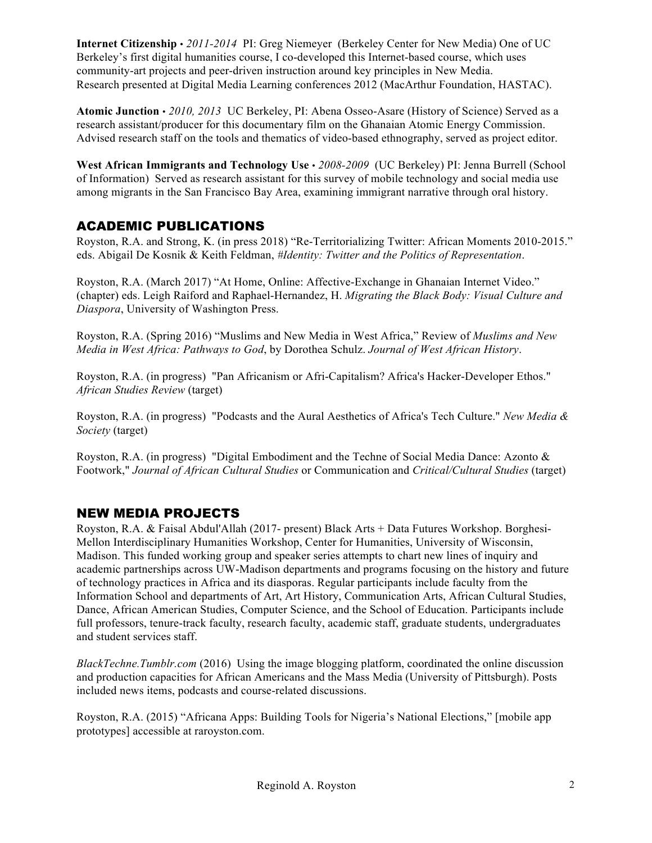**Internet Citizenship** • *2011-2014* PI: Greg Niemeyer (Berkeley Center for New Media) One of UC Berkeley's first digital humanities course, I co-developed this Internet-based course, which uses community-art projects and peer-driven instruction around key principles in New Media. Research presented at Digital Media Learning conferences 2012 (MacArthur Foundation, HASTAC).

**Atomic Junction** • *2010, 2013* UC Berkeley, PI: Abena Osseo-Asare (History of Science) Served as a research assistant/producer for this documentary film on the Ghanaian Atomic Energy Commission. Advised research staff on the tools and thematics of video-based ethnography, served as project editor.

**West African Immigrants and Technology Use** • *2008-2009* (UC Berkeley) PI: Jenna Burrell (School of Information) Served as research assistant for this survey of mobile technology and social media use among migrants in the San Francisco Bay Area, examining immigrant narrative through oral history.

## ACADEMIC PUBLICATIONS

Royston, R.A. and Strong, K. (in press 2018) "Re-Territorializing Twitter: African Moments 2010-2015." eds. Abigail De Kosnik & Keith Feldman, *#Identity: Twitter and the Politics of Representation*.

Royston, R.A. (March 2017) "At Home, Online: Affective-Exchange in Ghanaian Internet Video." (chapter) eds. Leigh Raiford and Raphael-Hernandez, H. *Migrating the Black Body: Visual Culture and Diaspora*, University of Washington Press.

Royston, R.A. (Spring 2016) "Muslims and New Media in West Africa," Review of *Muslims and New Media in West Africa: Pathways to God*, by Dorothea Schulz. *Journal of West African History*.

Royston, R.A. (in progress) "Pan Africanism or Afri-Capitalism? Africa's Hacker-Developer Ethos." *African Studies Review* (target)

Royston, R.A. (in progress) "Podcasts and the Aural Aesthetics of Africa's Tech Culture." *New Media & Society* (target)

Royston, R.A. (in progress) "Digital Embodiment and the Techne of Social Media Dance: Azonto & Footwork," *Journal of African Cultural Studies* or Communication and *Critical/Cultural Studies* (target)

## NEW MEDIA PROJECTS

Royston, R.A. & Faisal Abdul'Allah (2017- present) Black Arts + Data Futures Workshop. Borghesi-Mellon Interdisciplinary Humanities Workshop, Center for Humanities, University of Wisconsin, Madison. This funded working group and speaker series attempts to chart new lines of inquiry and academic partnerships across UW-Madison departments and programs focusing on the history and future of technology practices in Africa and its diasporas. Regular participants include faculty from the Information School and departments of Art, Art History, Communication Arts, African Cultural Studies, Dance, African American Studies, Computer Science, and the School of Education. Participants include full professors, tenure-track faculty, research faculty, academic staff, graduate students, undergraduates and student services staff.

*BlackTechne.Tumblr.com* (2016) Using the image blogging platform, coordinated the online discussion and production capacities for African Americans and the Mass Media (University of Pittsburgh). Posts included news items, podcasts and course-related discussions.

Royston, R.A. (2015) "Africana Apps: Building Tools for Nigeria's National Elections," [mobile app prototypes] accessible at raroyston.com.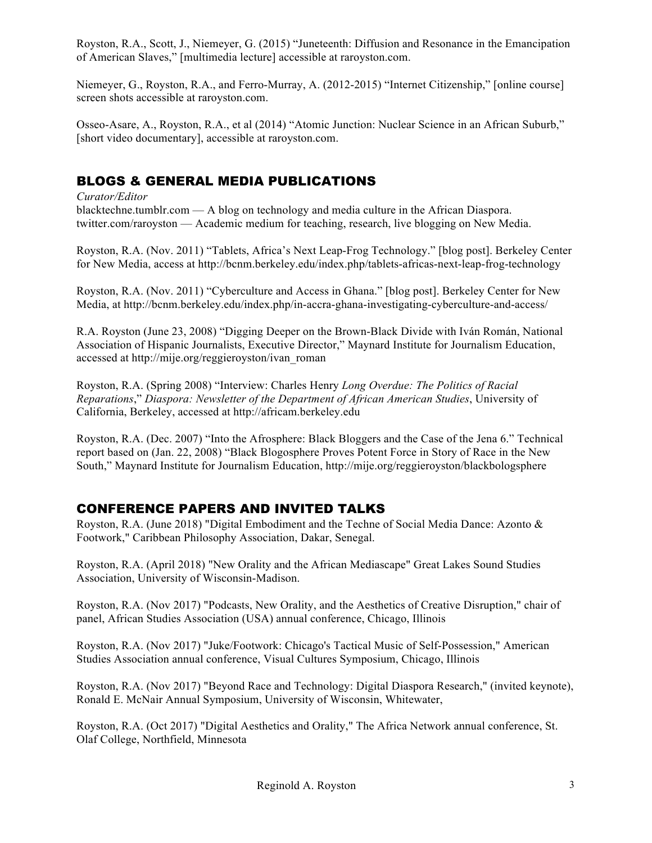Royston, R.A., Scott, J., Niemeyer, G. (2015) "Juneteenth: Diffusion and Resonance in the Emancipation of American Slaves," [multimedia lecture] accessible at raroyston.com.

Niemeyer, G., Royston, R.A., and Ferro-Murray, A. (2012-2015) "Internet Citizenship," [online course] screen shots accessible at raroyston.com.

Osseo-Asare, A., Royston, R.A., et al (2014) "Atomic Junction: Nuclear Science in an African Suburb," [short video documentary], accessible at raroyston.com.

## BLOGS & GENERAL MEDIA PUBLICATIONS

*Curator/Editor* 

blacktechne.tumblr.com — A blog on technology and media culture in the African Diaspora. twitter.com/raroyston — Academic medium for teaching, research, live blogging on New Media.

Royston, R.A. (Nov. 2011) "Tablets, Africa's Next Leap-Frog Technology." [blog post]. Berkeley Center for New Media, access at http://bcnm.berkeley.edu/index.php/tablets-africas-next-leap-frog-technology

Royston, R.A. (Nov. 2011) "Cyberculture and Access in Ghana." [blog post]. Berkeley Center for New Media, at http://bcnm.berkeley.edu/index.php/in-accra-ghana-investigating-cyberculture-and-access/

R.A. Royston (June 23, 2008) "Digging Deeper on the Brown-Black Divide with Iván Román, National Association of Hispanic Journalists, Executive Director," Maynard Institute for Journalism Education, accessed at http://mije.org/reggieroyston/ivan\_roman

Royston, R.A. (Spring 2008) "Interview: Charles Henry *Long Overdue: The Politics of Racial Reparations*," *Diaspora: Newsletter of the Department of African American Studies*, University of California, Berkeley, accessed at http://africam.berkeley.edu

Royston, R.A. (Dec. 2007) "Into the Afrosphere: Black Bloggers and the Case of the Jena 6." Technical report based on (Jan. 22, 2008) "Black Blogosphere Proves Potent Force in Story of Race in the New South," Maynard Institute for Journalism Education, http://mije.org/reggieroyston/blackbologsphere

# CONFERENCE PAPERS AND INVITED TALKS

Royston, R.A. (June 2018) "Digital Embodiment and the Techne of Social Media Dance: Azonto & Footwork," Caribbean Philosophy Association, Dakar, Senegal.

Royston, R.A. (April 2018) "New Orality and the African Mediascape" Great Lakes Sound Studies Association, University of Wisconsin-Madison.

Royston, R.A. (Nov 2017) "Podcasts, New Orality, and the Aesthetics of Creative Disruption," chair of panel, African Studies Association (USA) annual conference, Chicago, Illinois

Royston, R.A. (Nov 2017) "Juke/Footwork: Chicago's Tactical Music of Self-Possession," American Studies Association annual conference, Visual Cultures Symposium, Chicago, Illinois

Royston, R.A. (Nov 2017) "Beyond Race and Technology: Digital Diaspora Research," (invited keynote), Ronald E. McNair Annual Symposium, University of Wisconsin, Whitewater,

Royston, R.A. (Oct 2017) "Digital Aesthetics and Orality," The Africa Network annual conference, St. Olaf College, Northfield, Minnesota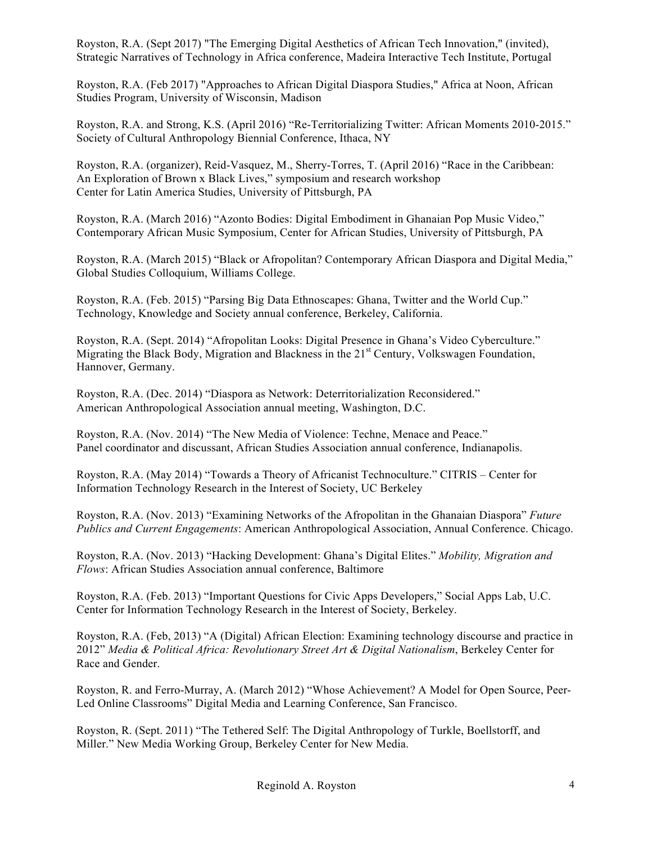Royston, R.A. (Sept 2017) "The Emerging Digital Aesthetics of African Tech Innovation," (invited), Strategic Narratives of Technology in Africa conference, Madeira Interactive Tech Institute, Portugal

Royston, R.A. (Feb 2017) "Approaches to African Digital Diaspora Studies," Africa at Noon, African Studies Program, University of Wisconsin, Madison

Royston, R.A. and Strong, K.S. (April 2016) "Re-Territorializing Twitter: African Moments 2010-2015." Society of Cultural Anthropology Biennial Conference, Ithaca, NY

Royston, R.A. (organizer), Reid-Vasquez, M., Sherry-Torres, T. (April 2016) "Race in the Caribbean: An Exploration of Brown x Black Lives," symposium and research workshop Center for Latin America Studies, University of Pittsburgh, PA

Royston, R.A. (March 2016) "Azonto Bodies: Digital Embodiment in Ghanaian Pop Music Video," Contemporary African Music Symposium, Center for African Studies, University of Pittsburgh, PA

Royston, R.A. (March 2015) "Black or Afropolitan? Contemporary African Diaspora and Digital Media," Global Studies Colloquium, Williams College.

Royston, R.A. (Feb. 2015) "Parsing Big Data Ethnoscapes: Ghana, Twitter and the World Cup." Technology, Knowledge and Society annual conference, Berkeley, California.

Royston, R.A. (Sept. 2014) "Afropolitan Looks: Digital Presence in Ghana's Video Cyberculture." Migrating the Black Body, Migration and Blackness in the 21<sup>st</sup> Century, Volkswagen Foundation, Hannover, Germany.

Royston, R.A. (Dec. 2014) "Diaspora as Network: Deterritorialization Reconsidered." American Anthropological Association annual meeting, Washington, D.C.

Royston, R.A. (Nov. 2014) "The New Media of Violence: Techne, Menace and Peace." Panel coordinator and discussant, African Studies Association annual conference, Indianapolis.

Royston, R.A. (May 2014) "Towards a Theory of Africanist Technoculture." CITRIS – Center for Information Technology Research in the Interest of Society, UC Berkeley

Royston, R.A. (Nov. 2013) "Examining Networks of the Afropolitan in the Ghanaian Diaspora" *Future Publics and Current Engagements*: American Anthropological Association, Annual Conference. Chicago.

Royston, R.A. (Nov. 2013) "Hacking Development: Ghana's Digital Elites." *Mobility, Migration and Flows*: African Studies Association annual conference, Baltimore

Royston, R.A. (Feb. 2013) "Important Questions for Civic Apps Developers," Social Apps Lab, U.C. Center for Information Technology Research in the Interest of Society, Berkeley.

Royston, R.A. (Feb, 2013) "A (Digital) African Election: Examining technology discourse and practice in 2012" *Media & Political Africa: Revolutionary Street Art & Digital Nationalism*, Berkeley Center for Race and Gender.

Royston, R. and Ferro-Murray, A. (March 2012) "Whose Achievement? A Model for Open Source, Peer-Led Online Classrooms" Digital Media and Learning Conference, San Francisco.

Royston, R. (Sept. 2011) "The Tethered Self: The Digital Anthropology of Turkle, Boellstorff, and Miller." New Media Working Group, Berkeley Center for New Media.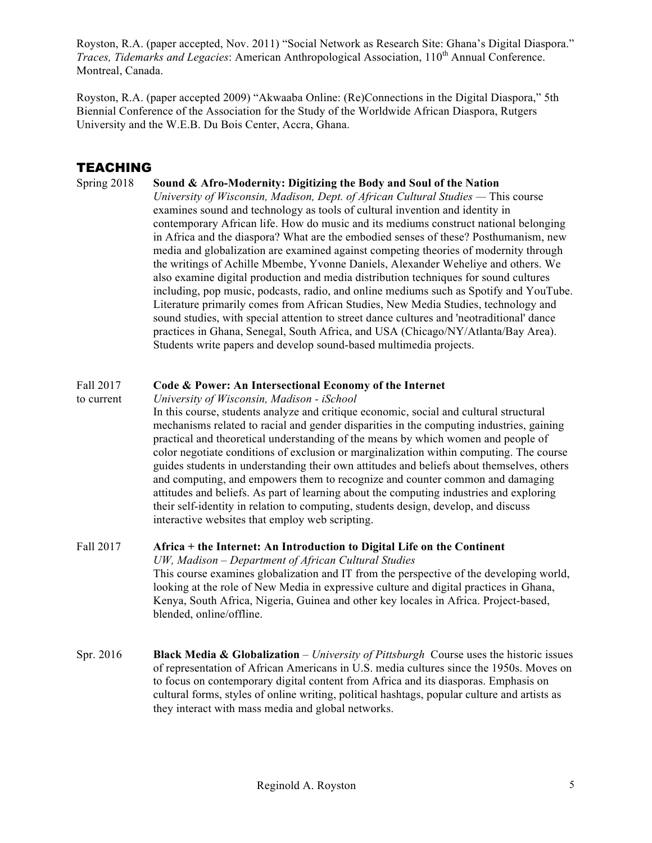Royston, R.A. (paper accepted, Nov. 2011) "Social Network as Research Site: Ghana's Digital Diaspora." *Traces, Tidemarks and Legacies: American Anthropological Association, 110<sup>th</sup> Annual Conference.* Montreal, Canada.

Royston, R.A. (paper accepted 2009) "Akwaaba Online: (Re)Connections in the Digital Diaspora," 5th Biennial Conference of the Association for the Study of the Worldwide African Diaspora, Rutgers University and the W.E.B. Du Bois Center, Accra, Ghana.

### TEACHING

#### Spring 2018 **Sound & Afro-Modernity: Digitizing the Body and Soul of the Nation**

*University of Wisconsin, Madison, Dept. of African Cultural Studies —* This course examines sound and technology as tools of cultural invention and identity in contemporary African life. How do music and its mediums construct national belonging in Africa and the diaspora? What are the embodied senses of these? Posthumanism, new media and globalization are examined against competing theories of modernity through the writings of Achille Mbembe, Yvonne Daniels, Alexander Weheliye and others. We also examine digital production and media distribution techniques for sound cultures including, pop music, podcasts, radio, and online mediums such as Spotify and YouTube. Literature primarily comes from African Studies, New Media Studies, technology and sound studies, with special attention to street dance cultures and 'neotraditional' dance practices in Ghana, Senegal, South Africa, and USA (Chicago/NY/Atlanta/Bay Area). Students write papers and develop sound-based multimedia projects.

#### Fall 2017 **Code & Power: An Intersectional Economy of the Internet**

to current *University of Wisconsin, Madison - iSchool* In this course, students analyze and critique economic, social and cultural structural mechanisms related to racial and gender disparities in the computing industries, gaining practical and theoretical understanding of the means by which women and people of color negotiate conditions of exclusion or marginalization within computing. The course guides students in understanding their own attitudes and beliefs about themselves, others and computing, and empowers them to recognize and counter common and damaging attitudes and beliefs. As part of learning about the computing industries and exploring their self-identity in relation to computing, students design, develop, and discuss interactive websites that employ web scripting.

#### Fall 2017 **Africa + the Internet: An Introduction to Digital Life on the Continent** *UW, Madison – Department of African Cultural Studies*  This course examines globalization and IT from the perspective of the developing world, looking at the role of New Media in expressive culture and digital practices in Ghana, Kenya, South Africa, Nigeria, Guinea and other key locales in Africa. Project-based, blended, online/offline.

Spr. 2016 **Black Media & Globalization** *– University of Pittsburgh* Course uses the historic issues of representation of African Americans in U.S. media cultures since the 1950s. Moves on to focus on contemporary digital content from Africa and its diasporas. Emphasis on cultural forms, styles of online writing, political hashtags, popular culture and artists as they interact with mass media and global networks.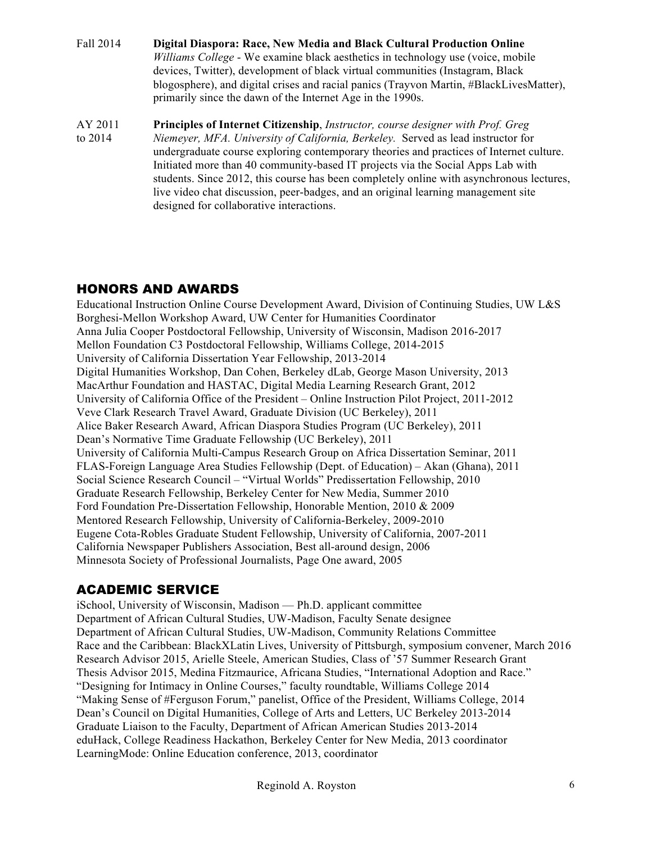- Fall 2014 **Digital Diaspora: Race, New Media and Black Cultural Production Online** *Williams College* - We examine black aesthetics in technology use (voice, mobile devices, Twitter), development of black virtual communities (Instagram, Black blogosphere), and digital crises and racial panics (Trayvon Martin, #BlackLivesMatter), primarily since the dawn of the Internet Age in the 1990s.
- AY 2011 **Principles of Internet Citizenship**, *Instructor, course designer with Prof. Greg* to 2014 *Niemeyer, MFA. University of California, Berkeley.* Served as lead instructor for undergraduate course exploring contemporary theories and practices of Internet culture. Initiated more than 40 community-based IT projects via the Social Apps Lab with students. Since 2012, this course has been completely online with asynchronous lectures, live video chat discussion, peer-badges, and an original learning management site designed for collaborative interactions.

# HONORS AND AWARDS

Educational Instruction Online Course Development Award, Division of Continuing Studies, UW L&S Borghesi-Mellon Workshop Award, UW Center for Humanities Coordinator Anna Julia Cooper Postdoctoral Fellowship, University of Wisconsin, Madison 2016-2017 Mellon Foundation C3 Postdoctoral Fellowship, Williams College, 2014-2015 University of California Dissertation Year Fellowship, 2013-2014 Digital Humanities Workshop, Dan Cohen, Berkeley dLab, George Mason University, 2013 MacArthur Foundation and HASTAC, Digital Media Learning Research Grant, 2012 University of California Office of the President – Online Instruction Pilot Project, 2011-2012 Veve Clark Research Travel Award, Graduate Division (UC Berkeley), 2011 Alice Baker Research Award, African Diaspora Studies Program (UC Berkeley), 2011 Dean's Normative Time Graduate Fellowship (UC Berkeley), 2011 University of California Multi-Campus Research Group on Africa Dissertation Seminar, 2011 FLAS-Foreign Language Area Studies Fellowship (Dept. of Education) – Akan (Ghana), 2011 Social Science Research Council – "Virtual Worlds" Predissertation Fellowship, 2010 Graduate Research Fellowship, Berkeley Center for New Media, Summer 2010 Ford Foundation Pre-Dissertation Fellowship, Honorable Mention, 2010 & 2009 Mentored Research Fellowship, University of California-Berkeley, 2009-2010 Eugene Cota-Robles Graduate Student Fellowship, University of California, 2007-2011 California Newspaper Publishers Association, Best all-around design, 2006 Minnesota Society of Professional Journalists, Page One award, 2005

# ACADEMIC SERVICE

iSchool, University of Wisconsin, Madison — Ph.D. applicant committee Department of African Cultural Studies, UW-Madison, Faculty Senate designee Department of African Cultural Studies, UW-Madison, Community Relations Committee Race and the Caribbean: BlackXLatin Lives, University of Pittsburgh, symposium convener, March 2016 Research Advisor 2015, Arielle Steele, American Studies, Class of '57 Summer Research Grant Thesis Advisor 2015, Medina Fitzmaurice, Africana Studies, "International Adoption and Race." "Designing for Intimacy in Online Courses," faculty roundtable, Williams College 2014 "Making Sense of #Ferguson Forum," panelist, Office of the President, Williams College, 2014 Dean's Council on Digital Humanities, College of Arts and Letters, UC Berkeley 2013-2014 Graduate Liaison to the Faculty, Department of African American Studies 2013-2014 eduHack, College Readiness Hackathon, Berkeley Center for New Media, 2013 coordinator LearningMode: Online Education conference, 2013, coordinator